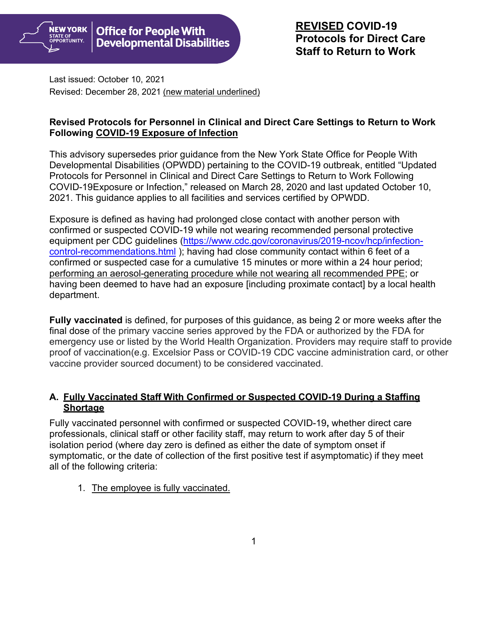

Last issued: October 10, 2021 Revised: December 28, 2021 (new material underlined)

## **Revised Protocols for Personnel in Clinical and Direct Care Settings to Return to Work Following COVID-19 Exposure of Infection**

This advisory supersedes prior guidance from the New York State Office for People With Developmental Disabilities (OPWDD) pertaining to the COVID-19 outbreak, entitled "Updated Protocols for Personnel in Clinical and Direct Care Settings to Return to Work Following COVID-19Exposure or Infection," released on March 28, 2020 and last updated October 10, 2021. This guidance applies to all facilities and services certified by OPWDD.

Exposure is defined as having had prolonged close contact with another person with confirmed or suspected COVID-19 while not wearing recommended personal protective equipment per CDC guidelines [\(https://www.cdc.gov/coronavirus/2019-ncov/hcp/infection](https://www.cdc.gov/coronavirus/2019-ncov/hcp/infection-control-recommendations.html)[control-recommendations.html](https://www.cdc.gov/coronavirus/2019-ncov/hcp/infection-control-recommendations.html) ); having had close community contact within 6 feet of a confirmed or suspected case for a cumulative 15 minutes or more within a 24 hour period; performing an aerosol-generating procedure while not wearing all recommended PPE; or having been deemed to have had an exposure [including proximate contact] by a local health department.

**Fully vaccinated** is defined, for purposes of this guidance, as being 2 or more weeks after the final dose of the primary vaccine series approved by the FDA or authorized by the FDA for emergency use or listed by the World Health Organization. Providers may require staff to provide proof of vaccination(e.g. Excelsior Pass or COVID-19 CDC vaccine administration card, or other vaccine provider sourced document) to be considered vaccinated.

### **A. Fully Vaccinated Staff With Confirmed or Suspected COVID-19 During a Staffing Shortage**

Fully vaccinated personnel with confirmed or suspected COVID-19**,** whether direct care professionals, clinical staff or other facility staff, may return to work after day 5 of their isolation period (where day zero is defined as either the date of symptom onset if symptomatic, or the date of collection of the first positive test if asymptomatic) if they meet all of the following criteria:

1. The employee is fully vaccinated.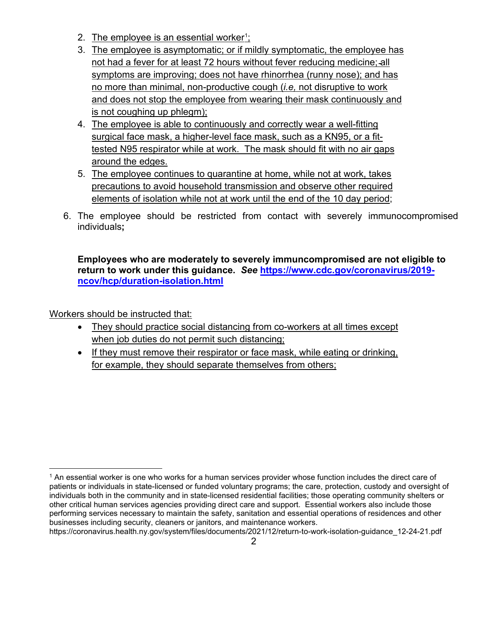- 2. <u>The employee is an essential worker[1](#page-1-0);</u>
- 3. The employee is asymptomatic; or if mildly symptomatic, the employee has not had a fever for at least 72 hours without fever reducing medicine; all symptoms are improving; does not have rhinorrhea (runny nose); and has no more than minimal, non-productive cough (*i.e,* not disruptive to work and does not stop the employee from wearing their mask continuously and is not coughing up phlegm);
- 4. The employee is able to continuously and correctly wear a well-fitting surgical face mask, a higher-level face mask, such as a KN95, or a fittested N95 respirator while at work. The mask should fit with no air gaps around the edges.
- 5. The employee continues to quarantine at home, while not at work, takes precautions to avoid household transmission and observe other required elements of isolation while not at work until the end of the 10 day period;
- 6. The employee should be restricted from contact with severely immunocompromised individuals**;**

**Employees who are moderately to severely immuncompromised are not eligible to return to work under this guidance.** *See* **[https://www.cdc.gov/coronavirus/2019](https://www.cdc.gov/coronavirus/2019-ncov/hcp/duration-isolation.html) [ncov/hcp/duration-isolation.html](https://www.cdc.gov/coronavirus/2019-ncov/hcp/duration-isolation.html)**

Workers should be instructed that:

- They should practice social distancing from co-workers at all times except when job duties do not permit such distancing;
- If they must remove their respirator or face mask, while eating or drinking, for example, they should separate themselves from others;

<span id="page-1-0"></span><sup>&</sup>lt;sup>1</sup> An essential worker is one who works for a human services provider whose function includes the direct care of patients or individuals in state-licensed or funded voluntary programs; the care, protection, custody and oversight of individuals both in the community and in state-licensed residential facilities; those operating community shelters or other critical human services agencies providing direct care and support. Essential workers also include those performing services necessary to maintain the safety, sanitation and essential operations of residences and other businesses including security, cleaners or janitors, and maintenance workers.

https://coronavirus.health.ny.gov/system/files/documents/2021/12/return-to-work-isolation-guidance\_12-24-21.pdf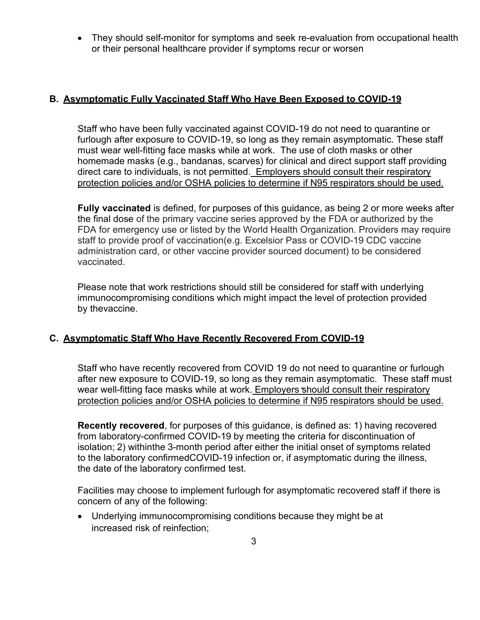• They should self-monitor for symptoms and seek re-evaluation from occupational health or their personal healthcare provider if symptoms recur or worsen

## **B. Asymptomatic Fully Vaccinated Staff Who Have Been Exposed to COVID-19**

Staff who have been fully vaccinated against COVID-19 do not need to quarantine or furlough after exposure to COVID-19, so long as they remain asymptomatic. These staff must wear well-fitting face masks while at work. The use of cloth masks or other homemade masks (e.g., bandanas, scarves) for clinical and direct support staff providing direct care to individuals, is not permitted. Employers should consult their respiratory protection policies and/or OSHA policies to determine if N95 respirators should be used.

**Fully vaccinated** is defined, for purposes of this guidance, as being 2 or more weeks after the final dose of the primary vaccine series approved by the FDA or authorized by the FDA for emergency use or listed by the World Health Organization. Providers may require staff to provide proof of vaccination(e.g. Excelsior Pass or COVID-19 CDC vaccine administration card, or other vaccine provider sourced document) to be considered vaccinated.

Please note that work restrictions should still be considered for staff with underlying immunocompromising conditions which might impact the level of protection provided by thevaccine.

### **C. Asymptomatic Staff Who Have Recently Recovered From COVID-19**

Staff who have recently recovered from COVID 19 do not need to quarantine or furlough after new exposure to COVID-19, so long as they remain asymptomatic. These staff must wear well-fitting face masks while at work. Employers should consult their respiratory protection policies and/or OSHA policies to determine if N95 respirators should be used.

**Recently recovered**, for purposes of this guidance, is defined as: 1) having recovered from laboratory-confirmed COVID-19 by meeting the criteria for discontinuation of isolation; 2) withinthe 3-month period after either the initial onset of symptoms related to the laboratory confirmedCOVID-19 infection or, if asymptomatic during the illness, the date of the laboratory confirmed test.

Facilities may choose to implement furlough for asymptomatic recovered staff if there is concern of any of the following:

• Underlying immunocompromising conditions because they might be at increased risk of reinfection;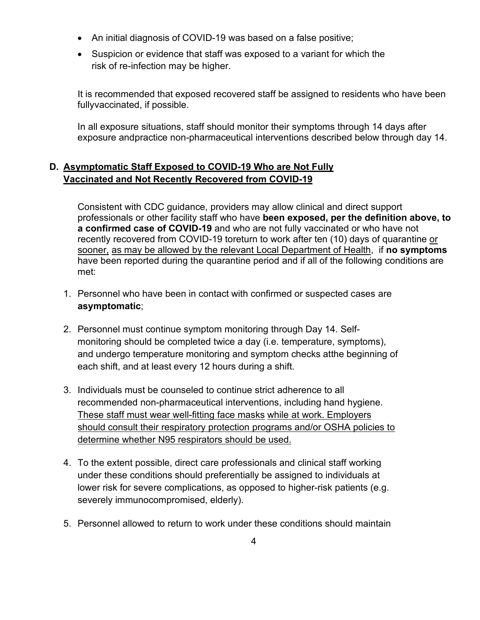- An initial diagnosis of COVID-19 was based on a false positive;
- Suspicion or evidence that staff was exposed to a variant for which the risk of re-infection may be higher.

It is recommended that exposed recovered staff be assigned to residents who have been fullyvaccinated, if possible.

In all exposure situations, staff should monitor their symptoms through 14 days after exposure andpractice non-pharmaceutical interventions described below through day 14.

# **D. Asymptomatic Staff Exposed to COVID-19 Who are Not Fully Vaccinated and Not Recently Recovered from COVID-19**

Consistent with CDC guidance, providers may allow clinical and direct support professionals or other facility staff who have **been exposed, per the definition above, to a confirmed case of COVID-19** and who are not fully vaccinated or who have not recently recovered from COVID-19 toreturn to work after ten (10) days of quarantine or sooner, as may be allowed by the relevant Local Department of Health, if **no symptoms**  have been reported during the quarantine period and if all of the following conditions are met:

- 1. Personnel who have been in contact with confirmed or suspected cases are **asymptomatic**;
- 2. Personnel must continue symptom monitoring through Day 14. Selfmonitoring should be completed twice a day (i.e. temperature, symptoms), and undergo temperature monitoring and symptom checks atthe beginning of each shift, and at least every 12 hours during a shift.
- 3. Individuals must be counseled to continue strict adherence to all recommended non-pharmaceutical interventions, including hand hygiene. These staff must wear well-fitting face masks while at work. Employers should consult their respiratory protection programs and/or OSHA policies to determine whether N95 respirators should be used.
- 4. To the extent possible, direct care professionals and clinical staff working under these conditions should preferentially be assigned to individuals at lower risk for severe complications, as opposed to higher-risk patients (e.g. severely immunocompromised, elderly).
- 5. Personnel allowed to return to work under these conditions should maintain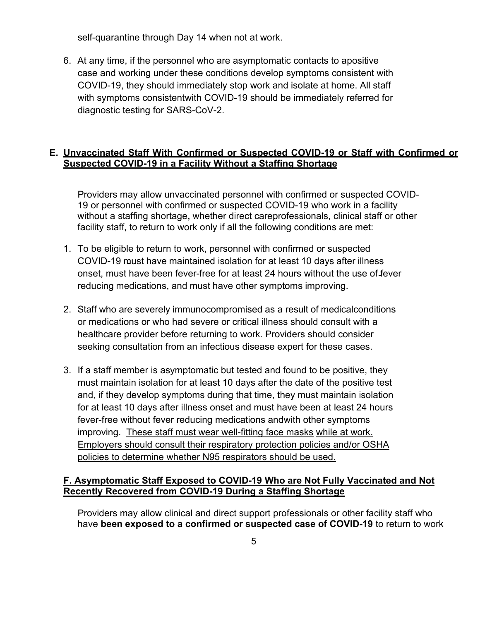self-quarantine through Day 14 when not at work.

6. At any time, if the personnel who are asymptomatic contacts to apositive case and working under these conditions develop symptoms consistent with COVID-19, they should immediately stop work and isolate at home. All staff with symptoms consistentwith COVID-19 should be immediately referred for diagnostic testing for SARS-CoV-2.

#### **E. Unvaccinated Staff With Confirmed or Suspected COVID-19 or Staff with Confirmed or Suspected COVID-19 in a Facility Without a Staffing Shortage**

Providers may allow unvaccinated personnel with confirmed or suspected COVID-19 or personnel with confirmed or suspected COVID-19 who work in a facility without a staffing shortage**,** whether direct careprofessionals, clinical staff or other facility staff, to return to work only if all the following conditions are met:

- 1. To be eligible to return to work, personnel with confirmed or suspected COVID-19 must have maintained isolation for at least 10 days after illness onset, must have been fever-free for at least 24 hours without the use of fever reducing medications, and must have other symptoms improving.
- 2. Staff who are severely immunocompromised as a result of medicalconditions or medications or who had severe or critical illness should consult with a healthcare provider before returning to work. Providers should consider seeking consultation from an infectious disease expert for these cases.
- 3. If a staff member is asymptomatic but tested and found to be positive, they must maintain isolation for at least 10 days after the date of the positive test and, if they develop symptoms during that time, they must maintain isolation for at least 10 days after illness onset and must have been at least 24 hours fever-free without fever reducing medications andwith other symptoms improving. These staff must wear well-fitting face masks while at work. Employers should consult their respiratory protection policies and/or OSHA policies to determine whether N95 respirators should be used.

### **F. Asymptomatic Staff Exposed to COVID-19 Who are Not Fully Vaccinated and Not Recently Recovered from COVID-19 During a Staffing Shortage**

Providers may allow clinical and direct support professionals or other facility staff who have **been exposed to a confirmed or suspected case of COVID-19** to return to work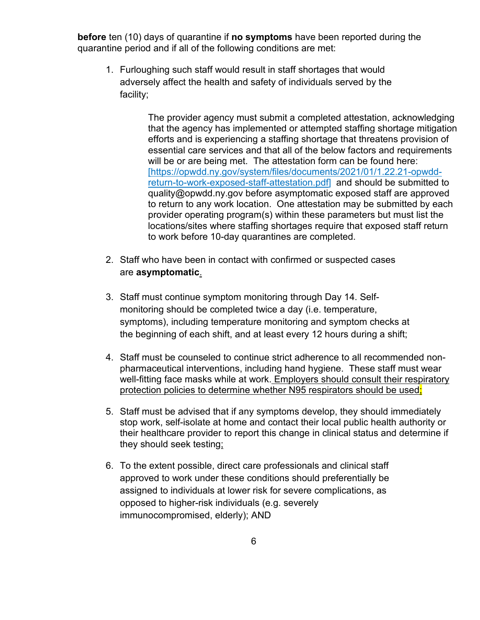**before** ten (10) days of quarantine if **no symptoms** have been reported during the quarantine period and if all of the following conditions are met:

1. Furloughing such staff would result in staff shortages that would adversely affect the health and safety of individuals served by the facility;

> The provider agency must submit a completed attestation, acknowledging that the agency has implemented or attempted staffing shortage mitigation efforts and is experiencing a staffing shortage that threatens provision of essential care services and that all of the below factors and requirements will be or are being met. The attestation form can be found here: [\[https://opwdd.ny.gov/system/files/documents/2021/01/1.22.21-opwdd](https://opwdd.ny.gov/system/files/documents/2021/01/1.22.21-opwdd-return-to-work-exposed-staff-attestation.pdf)[return-to-work-exposed-staff-attestation.pdf\]](https://opwdd.ny.gov/system/files/documents/2021/01/1.22.21-opwdd-return-to-work-exposed-staff-attestation.pdf) and should be submitted to quality@opwdd.ny.gov before asymptomatic exposed staff are approved to return to any work location. One attestation may be submitted by each provider operating program(s) within these parameters but must list the locations/sites where staffing shortages require that exposed staff return to work before 10-day quarantines are completed.

- 2. Staff who have been in contact with confirmed or suspected cases are **asymptomatic**.
- 3. Staff must continue symptom monitoring through Day 14. Selfmonitoring should be completed twice a day (i.e. temperature, symptoms), including temperature monitoring and symptom checks at the beginning of each shift, and at least every 12 hours during a shift;
- 4. Staff must be counseled to continue strict adherence to all recommended nonpharmaceutical interventions, including hand hygiene. These staff must wear well-fitting face masks while at work. Employers should consult their respiratory protection policies to determine whether N95 respirators should be used;
- 5. Staff must be advised that if any symptoms develop, they should immediately stop work, self-isolate at home and contact their local public health authority or their healthcare provider to report this change in clinical status and determine if they should seek testing;
- 6. To the extent possible, direct care professionals and clinical staff approved to work under these conditions should preferentially be assigned to individuals at lower risk for severe complications, as opposed to higher-risk individuals (e.g. severely immunocompromised, elderly); AND